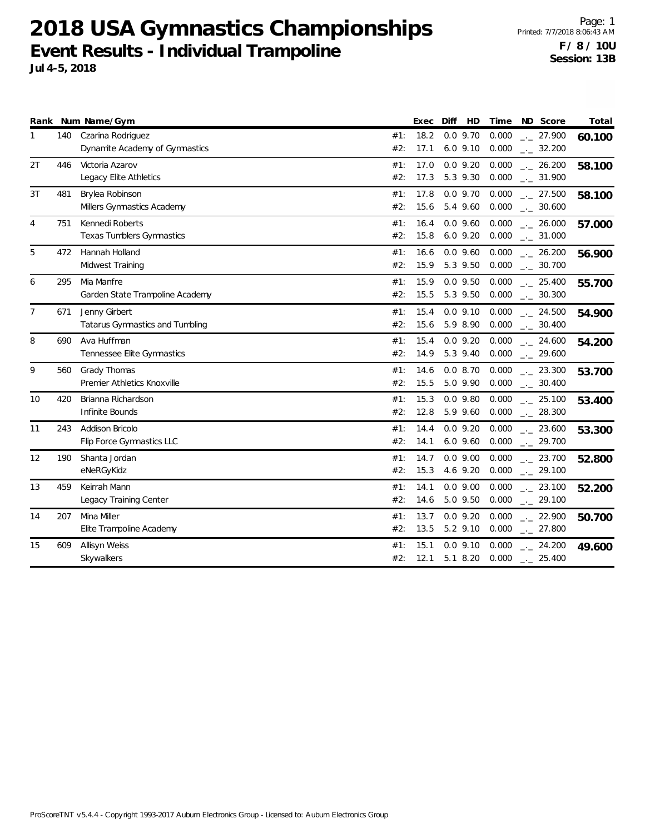12 190 Shanta Jordan 0.0000 Shanta Jordan 0.0000 Shanta 14.7

13 459 Keirrah Mann 0.000

15 609 Allisyn Weiss 2.000 and 2.000 and 2.000 and 2.000 and 2.000 and 2.000 and 2.000 and 2.000 and 2.000 and 2.000 and 2.000 and 2.000 and 2.000 and 2.000 and 2.000 and 2.000 and 2.000 and 2.000 and 2.000 and 2.000 and 2

14 207 Mina Miller 0.000

eNeRGyKidz

**Skywalkers** 

Legacy Training Center

Elite Trampoline Academy

Page: 1 Printed: 7/7/2018 8:06:43 AM **F / 8 / 10U Session: 13B**

\_.\_ **52.800** 23.700

\_.\_ **52.200** 23.100

\_.\_ **50.700** 22.900

\_.\_ **49.600** 24.200

#2: 15.3 4.6 9.20 0.000 \_\_\_ 29.100

 $14.6$  5.0 9.50 0.000  $\ldots$ #2:  $14.6$  5.0 9.50 0.000  $_{\leftarrow}$  29.100

 $13.5$   $5.2$   $9.10$   $0.000$   $_{-.1}$ #2: 13.5 5.2 9.10 0.000  $_{\leftarrow}$  27.800

 $#2:$  12.1 5.1 8.20 0.000  $\Box 25.400$ 

0.000

0.000

0.0 9.00 9.20

0.0 9.00

0.0 9.10 8.20

#1: 13.7 0.0 9.20

| Rank |     | Num Name/Gym                                        |            | Exec         | Diff<br>HD                 | Time<br>Score<br>ND.                                     | Total  |
|------|-----|-----------------------------------------------------|------------|--------------|----------------------------|----------------------------------------------------------|--------|
|      | 140 | Czarina Rodriguez<br>Dynamite Academy of Gymnastics | #1:<br>#2: | 18.2<br>17.1 | $0.0$ 9.70<br>$6.0$ $9.10$ | 0.000<br>. 27.900<br>0.000<br>$\frac{1}{2}$ 32.200       | 60.100 |
| 2T   | 446 | Victoria Azarov<br>Legacy Elite Athletics           | #1:<br>#2: | 17.0<br>17.3 | $0.0$ 9.20<br>5.3 9.30     | 0.000<br>26.200<br>0.000<br>$\sim$ 31.900                | 58.100 |
| 3T   | 481 | Brylea Robinson<br>Millers Gymnastics Academy       | #1:<br>#2: | 17.8<br>15.6 | $0.0$ 9.70<br>5.4 9.60     | 0.000<br>$\sim$ 27.500<br>0.000<br>30.600                | 58.100 |
| 4    | 751 | Kennedi Roberts<br>Texas Tumblers Gymnastics        | #1:<br>#2: | 16.4<br>15.8 | $0.0$ 9.60<br>$6.0$ $9.20$ | 0.000<br>. 26.000<br>$0.000$ $_{-}$ 31.000               | 57.000 |
| 5    | 472 | Hannah Holland<br>Midwest Training                  | #1:<br>#2: | 16.6<br>15.9 | $0.0$ 9.60<br>5.3 9.50     | 0.000<br>. 26.200<br>0.000<br>$\sim$ 30.700              | 56.900 |
| 6    | 295 | Mia Manfre<br>Garden State Trampoline Academy       | #1:<br>#2: | 15.9<br>15.5 | $0.0$ 9.50<br>5.3 9.50     | 0.000<br>$\frac{1}{2}$ 25.400<br>0.000<br>$\sim$ 30.300  | 55.700 |
| 7    | 671 | Jenny Girbert<br>Tatarus Gymnastics and Tumbling    | #1:<br>#2: | 15.4<br>15.6 | $0.0$ 9.10<br>5.9 8.90     | 0.000<br>. 24.500<br>0.000<br>$\sim$ 30.400              | 54.900 |
| 8    | 690 | Ava Huffman<br>Tennessee Elite Gymnastics           | #1:<br>#2: | 15.4<br>14.9 | $0.0$ 9.20<br>5.3 9.40     | 0.000<br>24.600<br>$0.000$ $_{-1}$ 29.600                | 54.200 |
| 9    | 560 | Grady Thomas<br>Premier Athletics Knoxville         | #1:<br>#2: | 14.6<br>15.5 | 0.08.70<br>5.0 9.90        | 0.000<br>$\sim$ 23.300<br>0.000<br>$\frac{1}{2}$ 30.400  | 53.700 |
| 10   | 420 | Brianna Richardson<br>Infinite Bounds               | #1:<br>#2: | 15.3<br>12.8 | $0.0$ 9.80<br>5.9 9.60     | 0.000<br>$\frac{1}{2}$ 25.100<br>0.000<br>$\sim$ 28.300  | 53.400 |
| 11   | 243 | Addison Bricolo<br>Flip Force Gymnastics LLC        | #1:<br>#2: | 14.4<br>14.1 | $0.0$ 9.20                 | 0.000<br>23.600<br>6.0 9.60 0.000 $_{\leftarrow}$ 29.700 | 53.300 |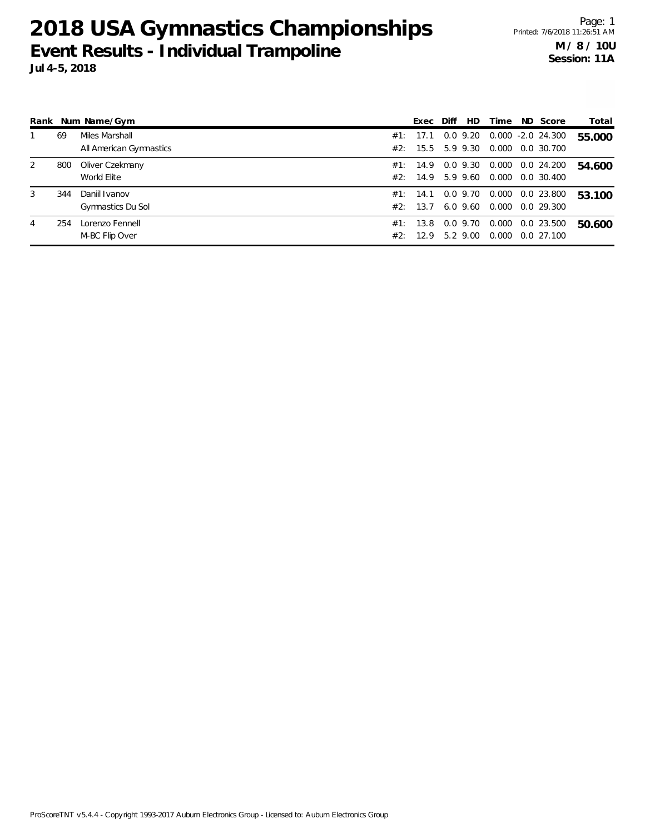|   |     | Rank Num Name/Gym                         |            | Exec                 | Diff | HD.                    | Time           | ND Score                           | Total  |
|---|-----|-------------------------------------------|------------|----------------------|------|------------------------|----------------|------------------------------------|--------|
|   | 69  | Miles Marshall<br>All American Gymnastics |            | #1: 17.1<br>#2: 15.5 |      | $0.0$ 9.20<br>5.9 9.30 | 0.000          | $0.000 - 2.0 24.300$<br>0.0 30.700 | 55.000 |
| 2 | 800 | Oliver Czekmany<br>World Elite            |            | #1: 14.9<br>#2: 14.9 |      | $0.0$ 9.30<br>5.9 9.60 | 0.000<br>0.000 | 0.0 24.200<br>0.0 30.400           | 54.600 |
| 3 | 344 | Daniil Ivanov<br>Gymnastics Du Sol        | #2:        | #1: 14.1<br>13.7     |      | 0.0 9.70<br>6.0 9.60   | 0.000<br>0.000 | 0.0 23.800<br>0.0 29.300           | 53.100 |
| 4 | 254 | Lorenzo Fennell<br>M-BC Flip Over         | #1:<br>#2: | 13.8<br>12.9         |      | $0.0$ 9.70<br>5.2 9.00 | 0.000<br>0.000 | 0.0 23.500<br>$0.0$ 27.100         | 50.600 |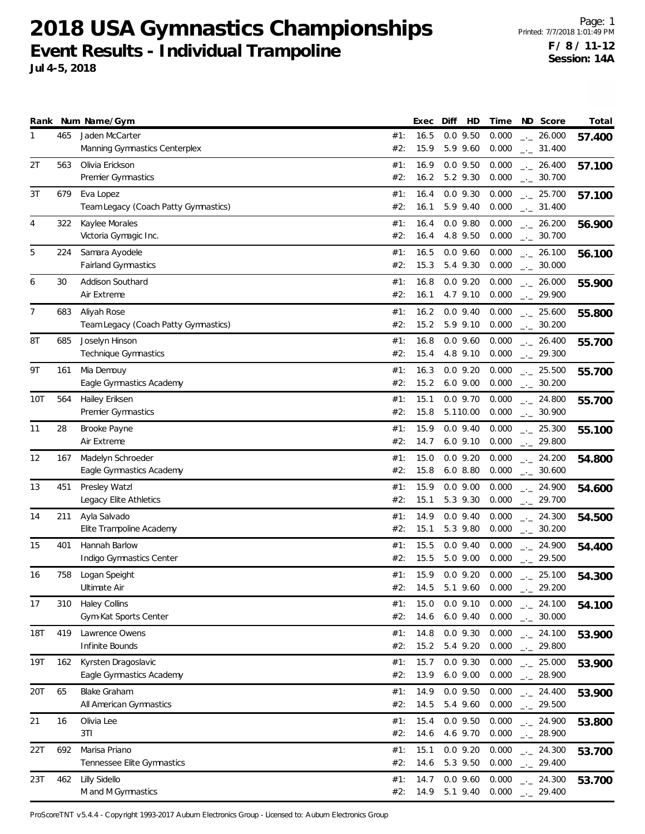Page: 1 Printed: 7/7/2018 1:01:49 PM **F / 8 / 11-12 Session: 14A**

| Rank |     | Num Name/Gym                            |            | Exec         | Diff | HD                     | Time           | ND Score               | Total  |
|------|-----|-----------------------------------------|------------|--------------|------|------------------------|----------------|------------------------|--------|
| 1    | 465 | Jaden McCarter                          | #1:        | 16.5         |      | $0.0$ 9.50             | 0.000          | $-26.000$              | 57.400 |
|      |     | Manning Gymnastics Centerplex           | #2:        | 15.9         |      | 5.9 9.60               | 0.000          | $-2$ 31.400            |        |
| 2T   | 563 | Olivia Erickson                         | #1:        | 16.9         |      | $0.0$ 9.50             | 0.000          | $-26.400$              | 57.100 |
|      |     | Premier Gymnastics                      | #2:        | 16.2         |      | 5.2 9.30               | 0.000          | $_{-}$ 30.700          |        |
| 3T   | 679 | Eva Lopez                               | #1:        | 16.4         |      | $0.0$ 9.30             | 0.000          | $-25.700$              |        |
|      |     | Team Legacy (Coach Patty Gymnastics)    | #2:        | 16.1         |      | 5.9 9.40               | 0.000          | $-2$ 31.400            | 57.100 |
|      |     |                                         |            |              |      |                        |                |                        |        |
| 4    | 322 | Kaylee Morales                          | #1:        | 16.4         |      | $0.0$ $9.80$           | 0.000          | $-26.200$              | 56.900 |
|      |     | Victoria Gymagic Inc.                   | #2:        | 16.4         |      | 4.8 9.50               | 0.000          | $\frac{1}{2}$ 30.700   |        |
| 5    | 224 | Samara Ayodele                          | #1:        | 16.5         |      | $0.0$ 9.60             | 0.000          | $-26.100$              | 56.100 |
|      |     | Fairland Gymnastics                     | #2:        | 15.3         |      | 5.4 9.30               | 0.000          | $\frac{1}{2}$ 30.000   |        |
| 6    | 30  | Addison Southard                        | #1:        | 16.8         |      | $0.0$ 9.20             | 0.000          | $-26.000$              | 55.900 |
|      |     | Air Extreme                             | #2:        | 16.1         |      | 4.7 9.10               | 0.000          | $-29.900$              |        |
| 7    | 683 | Aliyah Rose                             | #1:        | 16.2         |      | $0.0$ 9.40             | 0.000          | $-25.600$              | 55.800 |
|      |     | Team Legacy (Coach Patty Gymnastics)    | #2:        | 15.2         |      | 5.9 9.10               | 0.000          | $-2$ 30.200            |        |
|      |     |                                         |            |              |      |                        |                |                        |        |
| 8T   | 685 | Joselyn Hinson<br>Technique Gymnastics  | #1:<br>#2: | 16.8<br>15.4 |      | $0.0$ 9.60<br>4.8 9.10 | 0.000<br>0.000 | $-26.400$<br>$-29.300$ | 55.700 |
|      |     |                                         |            |              |      |                        |                |                        |        |
| 9Τ   | 161 | Mia Demouy                              | #1:        | 16.3         |      | $0.0$ 9.20             | 0.000          | $-25.500$              | 55.700 |
|      |     | Eagle Gymnastics Academy                | #2:        | 15.2         |      | $6.0$ $9.00$           | 0.000          | $-2$ 30.200            |        |
| 10T  | 564 | Hailey Eriksen                          | #1:        | 15.1         |      | $0.0$ 9.70             | 0.000          | $-24.800$              | 55.700 |
|      |     | Premier Gymnastics                      | #2:        | 15.8         |      | 5.110.00               | 0.000          | $-2$ 30.900            |        |
| 11   | 28  | Brooke Payne                            | #1:        | 15.9         |      | $0.0$ 9.40             | 0.000          | $-25.300$              | 55.100 |
|      |     | Air Extreme                             | #2:        | 14.7         |      | $6.0$ $9.10$           | 0.000          | $-29.800$              |        |
| 12   | 167 | Madelyn Schroeder                       | #1:        | 15.0         |      | $0.0$ 9.20             | 0.000          | $-24.200$              | 54.800 |
|      |     | Eagle Gymnastics Academy                | #2:        | 15.8         |      | 6.08.80                | 0.000          | $-2$ 30.600            |        |
|      |     |                                         |            |              |      |                        |                |                        |        |
| 13   | 451 | Presley Watzl<br>Legacy Elite Athletics | #1:<br>#2: | 15.9<br>15.1 |      | $0.0$ 9.00<br>5.3 9.30 | 0.000<br>0.000 | $-24.900$<br>$-29.700$ | 54.600 |
|      |     |                                         |            |              |      |                        |                |                        |        |
| 14   | 211 | Ayla Salvado                            | #1:        | 14.9         |      | $0.0$ 9.40             | 0.000          | $-24.300$              | 54.500 |
|      |     | Elite Trampoline Academy                | #2:        | 15.1         |      | 5.3 9.80               | 0.000          | $-2$ 30.200            |        |
| 15   | 401 | Hannah Barlow                           | #1:        | 15.5         |      | $0.0$ 9.40             | 0.000          | $-24.900$              | 54.400 |
|      |     | Indigo Gymnastics Center                | #2:        | 15.5         |      | 5.0 9.00               | 0.000          | $-29.500$              |        |
| 16   | 758 | Logan Speight                           | #1:        | 15.9         |      | $0.0$ 9.20             | 0.000          | $\frac{1}{2}$ 25.100   | 54.300 |
|      |     | Ultimate Air                            | #2:        | 14.5         |      | 5.1 9.60               | 0.000          | $-29.200$              |        |
| 17   | 310 | <b>Haley Collins</b>                    | #1:        | 15.0         |      | $0.0$ 9.10             | 0.000          | $-24.100$              | 54.100 |
|      |     | Gym-Kat Sports Center                   | #2:        | 14.6         |      | $6.0$ 9.40             | 0.000          | $-2$ 30.000            |        |
|      | 419 | Lawrence Owens                          | #1:        | 14.8         |      | $0.0$ 9.30             | 0.000          |                        |        |
| 18T  |     | Infinite Bounds                         | #2:        | 15.2         |      | 5.4 9.20               | 0.000          | $-24.100$<br>$-29.800$ | 53.900 |
|      |     |                                         |            |              |      |                        |                |                        |        |
| 19T  | 162 | Kyrsten Dragoslavic                     | #1:        | 15.7         |      | $0.0$ 9.30             | 0.000          | $-25.000$              | 53.900 |
|      |     | Eagle Gymnastics Academy                | #2:        | 13.9         |      | $6.0$ $9.00$           | 0.000          | $-28.900$              |        |
| 20T  | 65  | <b>Blake Graham</b>                     | #1:        | 14.9         |      | $0.0$ 9.50             | 0.000          | $-24.400$              | 53.900 |
|      |     | All American Gymnastics                 | #2:        | 14.5         |      | 5.4 9.60               | 0.000          | $\frac{1}{2}$ 29.500   |        |
| 21   | 16  | Olivia Lee                              | #1:        | 15.4         |      | $0.0$ 9.50             | 0.000          | $-24.900$              | 53.800 |
|      |     | 3T1                                     | #2:        | 14.6         |      | 4.6 9.70               | 0.000          | $\frac{1}{2}$ 28.900   |        |
| 22T  | 692 | Marisa Priano                           | #1:        | 15.1         |      | $0.0$ 9.20             | 0.000          | $-24.300$              | 53.700 |
|      |     | Tennessee Elite Gymnastics              | #2:        | 14.6         |      | 5.3 9.50               | 0.000          | $-29.400$              |        |
|      | 462 |                                         |            | 14.7         |      | $0.0$ 9.60             |                |                        |        |
| 23T  |     | Lilly Sidello<br>M and M Gymnastics     | #1:<br>#2: | 14.9         |      | 5.1 9.40               | 0.000<br>0.000 | $-24.300$<br>29.400    | 53.700 |
|      |     |                                         |            |              |      |                        |                |                        |        |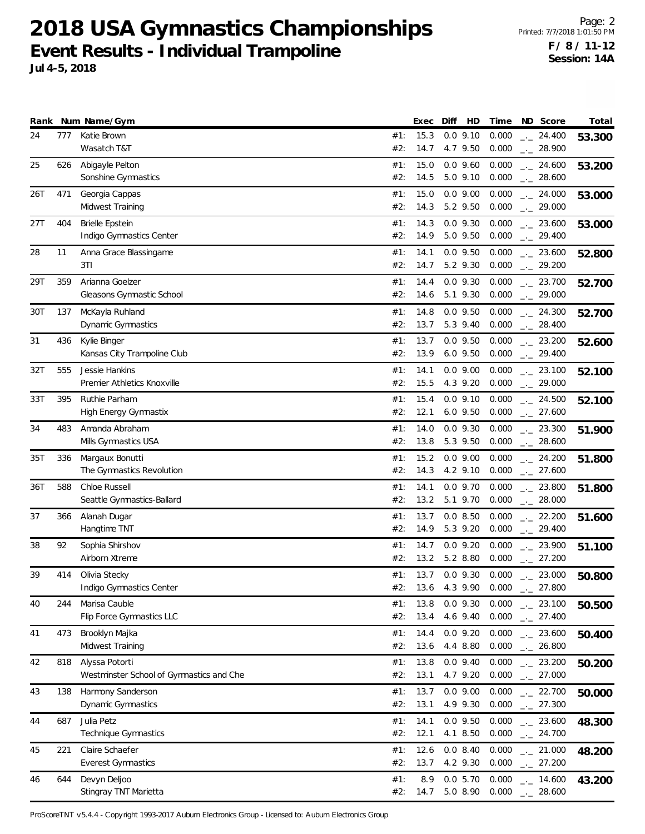Page: 2 Printed: 7/7/2018 1:01:50 PM **F / 8 / 11-12 Session: 14A**

| Jul 4-5, 2018 |                            | LVOIII ROSURS THURSIUMU HUINPOINS |  |  |                                                                                  | Session: 14A |
|---------------|----------------------------|-----------------------------------|--|--|----------------------------------------------------------------------------------|--------------|
|               | Rank Num Name/Gym          |                                   |  |  | Exec Diff HD Time ND Score                                                       | Total        |
| 24 777        | Katie Brown<br>Wasatch T&T |                                   |  |  | #1: 15.3 0.0 9.10 0.000 $\frac{1}{2}$ 24.400<br>#2: 14.7 4.7 9.50 0.000 . 28.900 | 53.300       |
|               | 25 626 Abigavle Pelton     |                                   |  |  | $\#1$ : 15.0 0.0 9.60 0.000 24.600 53.200                                        |              |

|     |     | Wasatch T&T                              | #2:        | 14.7         | 4.7 9.50               | 0.000          | $-28.900$              |        |
|-----|-----|------------------------------------------|------------|--------------|------------------------|----------------|------------------------|--------|
| 25  | 626 | Abigayle Pelton                          | #1:        | 15.0         | $0.0$ 9.60             | 0.000          | $-24.600$              | 53.200 |
|     |     | Sonshine Gymnastics                      | #2:        | 14.5         | 5.0 9.10               | 0.000          | $-28.600$              |        |
| 26T | 471 | Georgia Cappas                           | #1:        | 15.0         | $0.0$ 9.00             | 0.000          | $-24.000$              | 53.000 |
|     |     | Midwest Training                         | #2:        | 14.3         | 5.2 9.50               | 0.000          | $-29.000$              |        |
| 27T | 404 | <b>Brielle Epstein</b>                   | #1:        | 14.3         | $0.0$ 9.30             | 0.000          | $-23.600$              | 53.000 |
|     |     | Indigo Gymnastics Center                 | #2:        | 14.9         | 5.0 9.50               | 0.000          | $-29.400$              |        |
|     | 11  | Anna Grace Blassingame                   |            | 14.1         | $0.0$ 9.50             | 0.000          |                        |        |
| 28  |     | 3TI                                      | #1:<br>#2: | 14.7         | 5.2 9.30               | 0.000          | $-23.600$<br>$-29.200$ | 52.800 |
|     |     |                                          |            |              |                        |                |                        |        |
| 29T | 359 | Arianna Goelzer                          | #1:        | 14.4         | $0.0$ 9.30             | 0.000          | $\frac{1}{2}$ 23.700   | 52.700 |
|     |     | Gleasons Gymnastic School                | #2:        | 14.6         | 5.1 9.30               | 0.000          | $-29.000$              |        |
| 30T | 137 | McKayla Ruhland                          | #1:        | 14.8         | $0.0$ 9.50             | 0.000          | $-24.300$              | 52.700 |
|     |     | Dynamic Gymnastics                       | #2:        | 13.7         | 5.3 9.40               | 0.000          | $-28.400$              |        |
| 31  | 436 | Kylie Binger                             | #1:        | 13.7         | $0.0$ 9.50             | 0.000          | $-23.200$              | 52.600 |
|     |     | Kansas City Trampoline Club              | #2:        | 13.9         | 6.0 9.50               | 0.000          | $-29.400$              |        |
| 32T | 555 | Jessie Hankins                           | #1:        | 14.1         | $0.0$ $9.00$           | 0.000          | $\frac{1}{2}$ 23.100   | 52.100 |
|     |     | Premier Athletics Knoxville              | #2:        | 15.5         | 4.3 9.20               | 0.000          | $-29.000$              |        |
| 33T | 395 | Ruthie Parham                            | #1:        | 15.4         | $0.0$ 9.10             | 0.000          | $-24.500$              | 52.100 |
|     |     | <b>High Energy Gymnastix</b>             | #2:        | 12.1         | 6.0 9.50               | 0.000          | $-27.600$              |        |
| 34  | 483 | Amanda Abraham                           | #1:        | 14.0         | $0.0$ 9.30             | 0.000          | $-23.300$              | 51.900 |
|     |     | Mills Gymnastics USA                     | #2:        | 13.8         | 5.3 9.50               | 0.000          | $-28.600$              |        |
| 35T | 336 | Margaux Bonutti                          | #1:        | 15.2         | $0.0$ 9.00             | 0.000          | $-24.200$              |        |
|     |     | The Gymnastics Revolution                | #2:        | 14.3         | 4.2 9.10               | 0.000          | $-27.600$              | 51.800 |
|     |     |                                          |            |              |                        |                |                        |        |
| 36T | 588 | Chloe Russell                            | #1:<br>#2: | 14.1<br>13.2 | $0.0$ 9.70<br>5.1 9.70 | 0.000<br>0.000 | $-23.800$              | 51.800 |
|     |     | Seattle Gymnastics-Ballard               |            |              |                        |                | $\frac{1}{2}$ 28.000   |        |
| 37  | 366 | Alanah Dugar                             | #1:        | 13.7         | 0.08.50                | 0.000          | $\frac{1}{2}$ 22.200   | 51.600 |
|     |     | Hangtime TNT                             | #2:        | 14.9         | 5.3 9.20               | 0.000          | $-29.400$              |        |
| 38  | 92  | Sophia Shirshov                          | #1:        | 14.7         | $0.0$ 9.20             | 0.000          | $-23.900$              | 51.100 |
|     |     | Airborn Xtreme                           | #2:        | 13.2         | 5.2 8.80               | 0.000          | $-27.200$              |        |
| 39  | 414 | Olivia Stecky                            | #1:        | 13.7         | $0.0$ 9.30             | 0.000          | $-23.000$              | 50.800 |
|     |     | Indigo Gymnastics Center                 | #2:        | 13.6         | 4.3 9.90               | 0.000          | $\frac{1}{2}$ 27.800   |        |
| 40  | 244 | Marisa Cauble                            | #1:        | 13.8         | $0.0$ 9.30             | 0.000          | $\frac{1}{2}$ 23.100   | 50.500 |
|     |     | Flip Force Gymnastics LLC                | #2:        | 13.4         | 4.6 9.40               | 0.000          | $-27.400$              |        |
| 41  | 473 | Brooklyn Majka                           | #1:        | 14.4         | $0.0$ 9.20             | 0.000          | $-23.600$              | 50.400 |
|     |     | Midwest Training                         | #2:        | 13.6         | 4.4 8.80               | 0.000          | $-26.800$              |        |
| 42  | 818 | Alyssa Potorti                           | #1:        | 13.8         | $0.0$ 9.40             | 0.000          | $-23.200$              | 50.200 |
|     |     | Westminster School of Gymnastics and Che | #2:        | 13.1         | 4.7 9.20               | 0.000          | $-27.000$              |        |
| 43  | 138 | Harmony Sanderson                        | #1:        | 13.7         | $0.0$ $9.00$           | 0.000          | $-22.700$              |        |
|     |     | Dynamic Gymnastics                       | #2:        | 13.1         | 4.9 9.30               | 0.000          | $-27.300$              | 50.000 |
|     |     |                                          |            |              |                        |                |                        |        |
| 44  | 687 | Julia Petz                               | #1:        | 14.1         | $0.0$ 9.50             | 0.000          | $-23.600$              | 48.300 |
|     |     | Technique Gymnastics                     | #2:        | 12.1         | 4.1 8.50               | 0.000          | $\frac{1}{2}$ 24.700   |        |
| 45  | 221 | Claire Schaefer                          | #1:        | 12.6         | 0.08.40                | 0.000          | $-21.000$              | 48.200 |
|     |     | <b>Everest Gymnastics</b>                | #2:        | 13.7         | 4.2 9.30               | 0.000          | $-27.200$              |        |
| 46  | 644 | Devyn Deljoo                             | #1:        | 8.9          | 0.05.70                | 0.000          | $-14.600$              | 43.200 |
|     |     | Stingray TNT Marietta                    | #2:        | 14.7         | 5.0 8.90               | 0.000          | 28.600                 |        |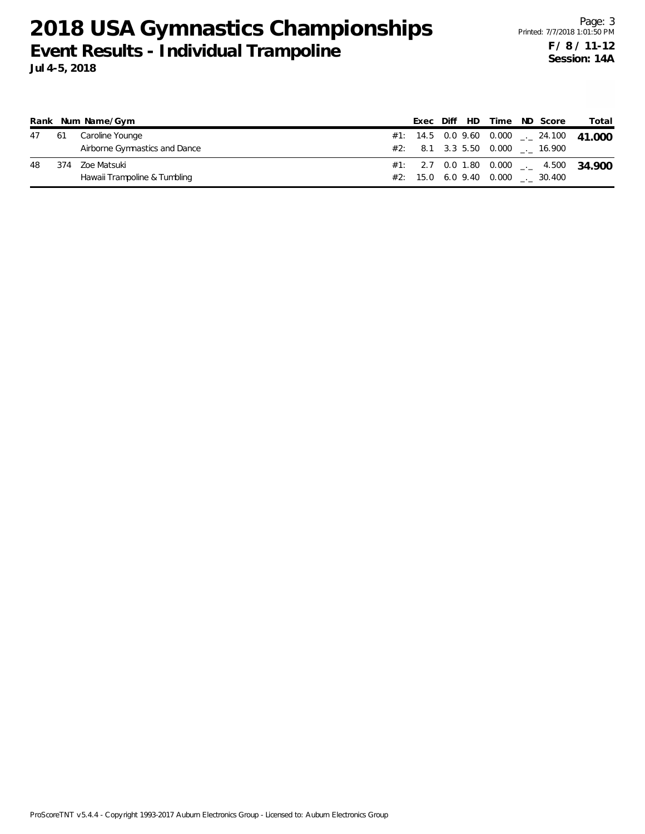|  | 47 61 Caroline Younge         |  |  | #1: 14.5  0.0  9.60  0.000  __  24.100  41.000 |  |
|--|-------------------------------|--|--|------------------------------------------------|--|
|  | Airborne Gymnastics and Dance |  |  | #2: 8.1 3.3 5.50 0.000 . 16.900                |  |
|  | 48 374 Zoe Matsuki            |  |  | #1: 2.7 0.0 1.80 0.000 $-$ 4.500 34.900        |  |
|  | Hawaii Trampoline & Tumbling  |  |  | #2: 15.0 6.0 9.40 0.000 . 30.400               |  |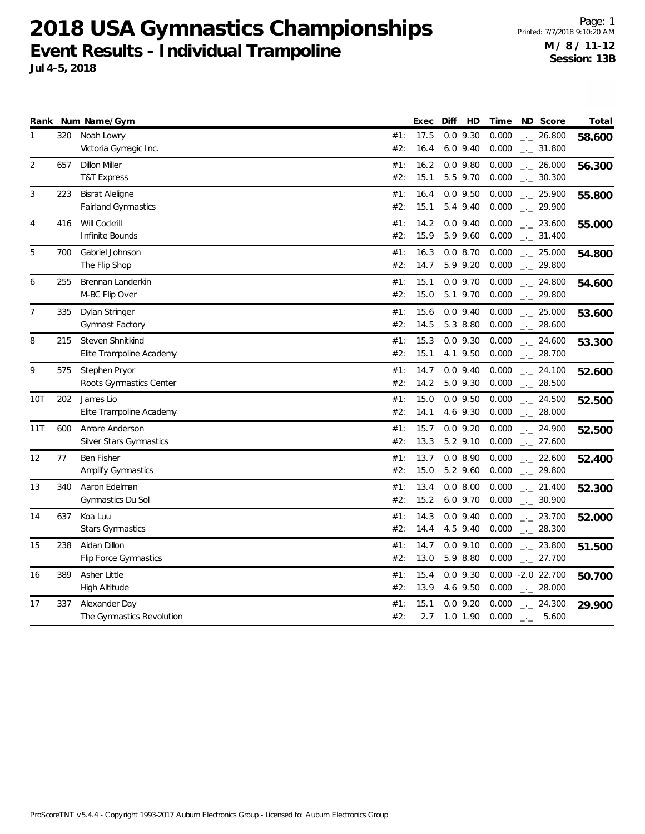Page: 1 Printed: 7/7/2018 9:10:20 AM **M / 8 / 11-12 Session: 13B**

**Jul 4-5, 2018**

|                |     | Rank Num Name/Gym          |     | Exec | Diff | HD           | Time  |                             | ND Score             | Total  |
|----------------|-----|----------------------------|-----|------|------|--------------|-------|-----------------------------|----------------------|--------|
| $\mathbf{1}$   | 320 | Noah Lowry                 | #1: | 17.5 |      | $0.0$ 9.30   | 0.000 |                             | $-26.800$            | 58.600 |
|                |     | Victoria Gymagic Inc.      | #2: | 16.4 |      | $6.0$ $9.40$ | 0.000 |                             | $-2$ 31.800          |        |
| $\overline{2}$ | 657 | <b>Dillon Miller</b>       | #1: | 16.2 |      | $0.0$ $9.80$ | 0.000 |                             | $\frac{1}{2}$ 26.000 | 56.300 |
|                |     | <b>T&amp;T Express</b>     | #2: | 15.1 |      | 5.5 9.70     | 0.000 |                             | $\frac{1}{2}$ 30.300 |        |
| 3              | 223 | <b>Bisrat Aleligne</b>     | #1: | 16.4 |      | $0.0$ $9.50$ | 0.000 |                             | $-25.900$            | 55.800 |
|                |     | <b>Fairland Gymnastics</b> | #2: | 15.1 |      | 5.4 9.40     | 0.000 |                             | $-29.900$            |        |
| 4              | 416 | Will Cockrill              | #1: | 14.2 |      | $0.0$ 9.40   | 0.000 |                             | $-23.600$            | 55.000 |
|                |     | Infinite Bounds            | #2: | 15.9 |      | 5.9 9.60     | 0.000 |                             | $-2$ 31.400          |        |
| 5              | 700 | Gabriel Johnson            | #1: | 16.3 |      | 0.08.70      | 0.000 |                             | $-25.000$            | 54.800 |
|                |     | The Flip Shop              | #2: | 14.7 |      | 5.9 9.20     | 0.000 |                             | $-29.800$            |        |
| 6              | 255 | Brennan Landerkin          | #1: | 15.1 |      | $0.0$ 9.70   | 0.000 |                             | $\frac{1}{2}$ 24.800 | 54.600 |
|                |     | M-BC Flip Over             | #2: | 15.0 |      | 5.1 9.70     | 0.000 |                             | $-29.800$            |        |
| 7              | 335 | Dylan Stringer             | #1: | 15.6 |      | $0.0$ 9.40   | 0.000 |                             | $-25.000$            | 53.600 |
|                |     | Gymnast Factory            | #2: | 14.5 |      | 5.3 8.80     | 0.000 |                             | $\frac{1}{2}$ 28.600 |        |
| 8              | 215 | Steven Shnitkind           | #1: | 15.3 |      | $0.0$ 9.30   | 0.000 |                             | $-24.600$            | 53.300 |
|                |     | Elite Trampoline Academy   | #2: | 15.1 |      | 4.1 9.50     | 0.000 |                             | $-28.700$            |        |
| 9              | 575 | Stephen Pryor              | #1: | 14.7 |      | $0.0$ 9.40   | 0.000 |                             | $-24.100$            | 52.600 |
|                |     | Roots Gymnastics Center    | #2: | 14.2 |      | 5.0 9.30     | 0.000 |                             | $-28.500$            |        |
| 10T            | 202 | James Lio                  | #1: | 15.0 |      | $0.0$ $9.50$ | 0.000 |                             | $-24.500$            | 52.500 |
|                |     | Elite Trampoline Academy   | #2: | 14.1 |      | 4.6 9.30     | 0.000 |                             | $-28.000$            |        |
| 11T            | 600 | Amare Anderson             | #1: | 15.7 |      | $0.0$ 9.20   | 0.000 |                             | $-24.900$            | 52.500 |
|                |     | Silver Stars Gymnastics    | #2: | 13.3 |      | 5.2 9.10     | 0.000 |                             | $-27.600$            |        |
| 12             | 77  | Ben Fisher                 | #1: | 13.7 |      | 0.0 8.90     | 0.000 |                             | $-22.600$            | 52.400 |
|                |     | Amplify Gymnastics         | #2: | 15.0 |      | 5.2 9.60     | 0.000 |                             | $-29.800$            |        |
| 13             | 340 | Aaron Edelman              | #1: | 13.4 |      | 0.0 8.00     | 0.000 |                             | $\frac{1}{2}$ 21.400 | 52.300 |
|                |     | Gymnastics Du Sol          | #2: | 15.2 |      | 6.0 9.70     | 0.000 |                             | $-2.30.900$          |        |
| 14             | 637 | Koa Luu                    | #1: | 14.3 |      | $0.0$ 9.40   | 0.000 |                             | $-23.700$            | 52.000 |
|                |     | <b>Stars Gymnastics</b>    | #2: | 14.4 |      | 4.5 9.40     | 0.000 |                             | $-28.300$            |        |
| 15             | 238 | Aidan Dillon               | #1: | 14.7 |      | $0.0$ $9.10$ | 0.000 |                             | $-23.800$            | 51.500 |
|                |     | Flip Force Gymnastics      | #2: | 13.0 |      | 5.9 8.80     | 0.000 |                             | $-27.700$            |        |
| 16             | 389 | Asher Little               | #1: | 15.4 |      | $0.0$ 9.30   |       | 0.000 -2.0 22.700           |                      | 50.700 |
|                |     | High Altitude              | #2: | 13.9 |      | 4.6 9.50     | 0.000 |                             | $-28.000$            |        |
| 17             | 337 | Alexander Day              | #1: | 15.1 |      | $0.0$ 9.20   | 0.000 |                             | $-24.300$            | 29.900 |
|                |     | The Gymnastics Revolution  | #2: | 2.7  |      | $1.0$ 1.90   | 0.000 | $\rightarrow$ $\rightarrow$ | 5.600                |        |
|                |     |                            |     |      |      |              |       |                             |                      |        |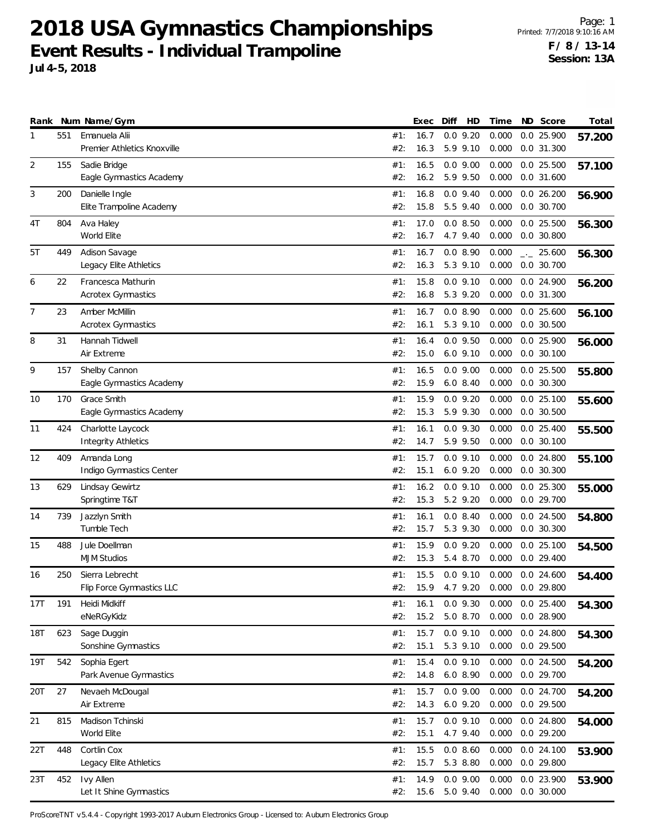Page: 1 Printed: 7/7/2018 9:10:16 AM **F / 8 / 13-14 Session: 13A**

**Jul 4-5, 2018**

|                |     | Rank Num Name/Gym                               |            | Exec         | Diff | HD                         | Time           | ND Score                     | Total  |
|----------------|-----|-------------------------------------------------|------------|--------------|------|----------------------------|----------------|------------------------------|--------|
| 1              | 551 | Emanuela Alii<br>Premier Athletics Knoxville    | #1:<br>#2: | 16.7<br>16.3 |      | $0.0$ 9.20<br>5.9 9.10     | 0.000<br>0.000 | $0.0$ 25.900<br>$0.0$ 31.300 | 57.200 |
| $\overline{2}$ | 155 | Sadie Bridge<br>Eagle Gymnastics Academy        | #1:<br>#2: | 16.5<br>16.2 |      | $0.0$ 9.00<br>5.9 9.50     | 0.000<br>0.000 | $0.0$ 25.500<br>0.0 31.600   | 57.100 |
| 3              | 200 | Danielle Ingle<br>Elite Trampoline Academy      | #1:<br>#2: | 16.8<br>15.8 |      | $0.0$ 9.40<br>5.5 9.40     | 0.000<br>0.000 | 0.026.200<br>0.0 30.700      | 56.900 |
| 4T             | 804 | Ava Haley<br>World Elite                        | #1:<br>#2: | 17.0<br>16.7 |      | 0.0 8.50<br>4.7 9.40       | 0.000<br>0.000 | $0.0$ 25.500<br>$0.0$ 30.800 | 56.300 |
| 5T             | 449 | Adison Savage<br>Legacy Elite Athletics         | #1:<br>#2: | 16.7<br>16.3 |      | 0.08.90<br>5.3 9.10        | 0.000<br>0.000 | $-25.600$<br>0.0 30.700      | 56.300 |
| 6              | 22  | Francesca Mathurin<br><b>Acrotex Gymnastics</b> | #1:<br>#2: | 15.8<br>16.8 |      | $0.0$ 9.10<br>5.3 9.20     | 0.000<br>0.000 | 0.0 24.900<br>0.0 31.300     | 56.200 |
| 7              | 23  | Amber McMillin<br><b>Acrotex Gymnastics</b>     | #1:<br>#2: | 16.7<br>16.1 |      | 0.0 8.90<br>5.3 9.10       | 0.000<br>0.000 | $0.0$ 25.600<br>$0.0$ 30.500 | 56.100 |
| 8              | 31  | Hannah Tidwell<br>Air Extreme                   | #1:<br>#2: | 16.4<br>15.0 |      | $0.0$ 9.50<br>$6.0$ $9.10$ | 0.000<br>0.000 | 0.0 25.900<br>$0.0$ 30.100   | 56.000 |
| 9              | 157 | Shelby Cannon<br>Eagle Gymnastics Academy       | #1:<br>#2: | 16.5<br>15.9 |      | $0.0$ $9.00$<br>$6.0$ 8.40 | 0.000<br>0.000 | $0.0$ 25.500<br>0.0 30.300   | 55.800 |
| 10             | 170 | Grace Smith<br>Eagle Gymnastics Academy         | #1:<br>#2: | 15.9<br>15.3 |      | $0.0$ 9.20<br>5.9 9.30     | 0.000<br>0.000 | 0.025.100<br>$0.0$ 30.500    | 55.600 |
| 11             | 424 | Charlotte Laycock<br><b>Integrity Athletics</b> | #1:<br>#2: | 16.1<br>14.7 |      | $0.0$ 9.30<br>5.9 9.50     | 0.000<br>0.000 | $0.0$ 25.400<br>$0.0$ 30.100 | 55.500 |
| 12             | 409 | Amanda Long<br>Indigo Gymnastics Center         | #1:<br>#2: | 15.7<br>15.1 |      | $0.0$ 9.10<br>$6.0$ $9.20$ | 0.000<br>0.000 | 0.0 24.800<br>$0.0$ 30.300   | 55.100 |
| 13             | 629 | Lindsay Gewirtz<br>Springtime T&T               | #1:<br>#2: | 16.2<br>15.3 |      | $0.0$ $9.10$<br>5.2 9.20   | 0.000<br>0.000 | $0.0$ 25.300<br>0.0 29.700   | 55.000 |
| 14             | 739 | Jazzlyn Smith<br>Tumble Tech                    | #1:<br>#2: | 16.1<br>15.7 |      | 0.08.40<br>5.3 9.30        | 0.000<br>0.000 | $0.0$ 24.500<br>$0.0$ 30.300 | 54.800 |
| 15             | 488 | Jule Doellman<br><b>MJM Studios</b>             | #1:<br>#2: | 15.9<br>15.3 |      | $0.0$ 9.20<br>5.4 8.70     | 0.000<br>0.000 | 0.025.100<br>$0.0$ 29.400    | 54.500 |
| 16             | 250 | Sierra Lebrecht<br>Flip Force Gymnastics LLC    | #1:<br>#2: | 15.5<br>15.9 |      | $0.0$ $9.10$<br>4.7 9.20   | 0.000<br>0.000 | $0.0$ 24.600<br>0.0 29.800   | 54.400 |
| 17T            | 191 | Heidi Midkiff<br>eNeRGyKidz                     | #1:<br>#2: | 16.1<br>15.2 |      | $0.0$ 9.30<br>5.0 8.70     | 0.000<br>0.000 | $0.0$ 25.400<br>0.0 28.900   | 54.300 |
| 18T            | 623 | Sage Duggin<br>Sonshine Gymnastics              | #1:<br>#2: | 15.7<br>15.1 |      | $0.0$ $9.10$<br>5.3 9.10   | 0.000<br>0.000 | $0.0$ 24.800<br>0.0 29.500   | 54.300 |
| 19T            | 542 | Sophia Egert<br>Park Avenue Gymnastics          | #1:<br>#2: | 15.4<br>14.8 |      | $0.0$ 9.10<br>6.0 8.90     | 0.000<br>0.000 | 0.0 24.500<br>0.0 29.700     | 54.200 |
| 20T            | 27  | Nevaeh McDougal<br>Air Extreme                  | #1:<br>#2: | 15.7<br>14.3 |      | $0.0$ 9.00<br>6.0 9.20     | 0.000<br>0.000 | 0.0 24.700<br>0.0 29.500     | 54.200 |
| 21             | 815 | Madison Tchinski<br>World Elite                 | #1:<br>#2: | 15.7<br>15.1 |      | $0.0$ 9.10<br>4.7 9.40     | 0.000<br>0.000 | 0.0 24.800<br>0.029.200      | 54.000 |
| 22T            | 448 | Cortlin Cox<br>Legacy Elite Athletics           | #1:<br>#2: | 15.5<br>15.7 |      | 0.0 8.60<br>5.3 8.80       | 0.000<br>0.000 | $0.0$ 24.100<br>$0.0$ 29.800 | 53.900 |
| 23T            | 452 | Ivy Allen<br>Let It Shine Gymnastics            | #1:<br>#2: | 14.9<br>15.6 |      | $0.0$ $9.00$<br>5.0 9.40   | 0.000<br>0.000 | 0.0 23.900<br>0.0 30.000     | 53.900 |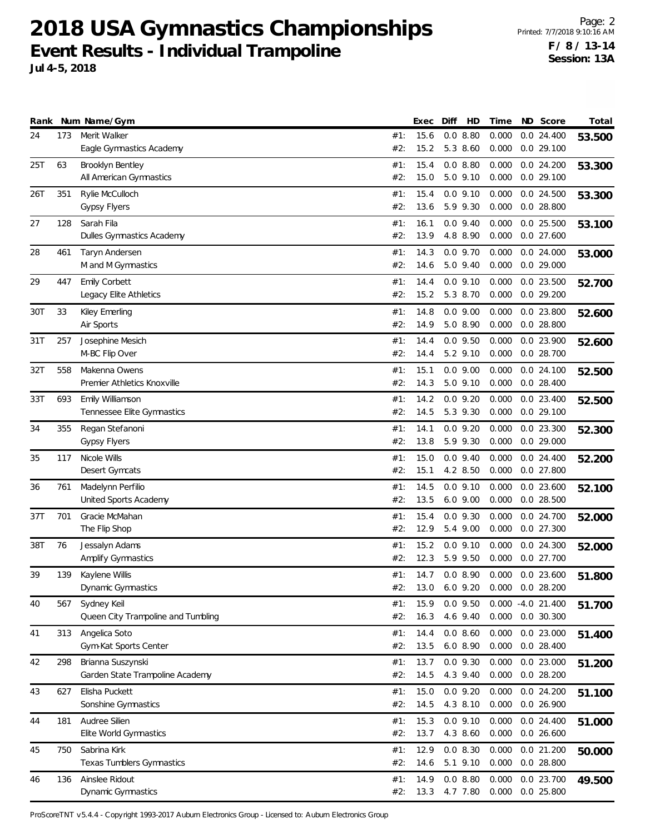Page: 2 Printed: 7/7/2018 9:10:16 AM **F / 8 / 13-14 Session: 13A**

**Jul 4-5, 2018**

|     |     | Rank Num Name/Gym                                 |            | Exec         | Diff | HD                           | Time                          | ND Score                     | Total  |
|-----|-----|---------------------------------------------------|------------|--------------|------|------------------------------|-------------------------------|------------------------------|--------|
| 24  | 173 | Merit Walker                                      | #1:        | 15.6         |      | 0.08.80<br>5.3 8.60          | 0.000                         | $0.0$ 24.400<br>$0.0$ 29.100 | 53.500 |
| 25T | 63  | Eagle Gymnastics Academy<br>Brooklyn Bentley      | #2:<br>#1: | 15.2<br>15.4 |      | 0.08.80                      | 0.000<br>0.000                | 0.024.200                    |        |
|     |     | All American Gymnastics                           | #2:        | 15.0         |      | 5.0 9.10                     | 0.000                         | 0.0 29.100                   | 53.300 |
| 26T | 351 | Rylie McCulloch                                   | #1:        | 15.4         |      | $0.0$ 9.10                   | 0.000                         | 0.0 24.500                   | 53.300 |
|     |     | <b>Gypsy Flyers</b>                               | #2:        | 13.6         |      | 5.9 9.30                     | 0.000                         | $0.0$ 28.800                 |        |
| 27  | 128 | Sarah Fila                                        | #1:        | 16.1         |      | $0.0$ 9.40                   | 0.000                         | $0.0$ 25.500                 | 53.100 |
|     |     | Dulles Gymnastics Academy                         | #2:        | 13.9         |      | 4.8 8.90                     | 0.000                         | $0.0$ 27.600                 |        |
| 28  | 461 | Taryn Andersen<br>M and M Gymnastics              | #1:<br>#2: | 14.3<br>14.6 |      | $0.0$ 9.70<br>5.0 9.40       | 0.000<br>0.000                | $0.0$ 24.000<br>0.029.000    | 53.000 |
| 29  | 447 | Emily Corbett                                     | #1:        | 14.4         |      | $0.0$ $9.10$                 | 0.000                         | $0.0$ 23.500                 | 52.700 |
|     |     | Legacy Elite Athletics                            | #2:        | 15.2         |      | 5.3 8.70                     | 0.000                         | 0.029.200                    |        |
| 30T | 33  | Kiley Emerling                                    | #1:        | 14.8         |      | $0.0$ 9.00                   | 0.000                         | 0.0 23.800                   | 52.600 |
|     |     | Air Sports                                        | #2:        | 14.9         |      | 5.0 8.90                     | 0.000                         | $0.0$ 28.800                 |        |
| 31T | 257 | Josephine Mesich                                  | #1:        | 14.4         |      | $0.0$ $9.50$                 | 0.000                         | 0.0 23.900                   | 52.600 |
|     |     | M-BC Flip Over                                    | #2:        | 14.4         |      | 5.2 9.10                     | 0.000                         | $0.0$ 28.700                 |        |
| 32T | 558 | Makenna Owens<br>Premier Athletics Knoxville      | #1:<br>#2: | 15.1<br>14.3 |      | $0.0$ 9.00<br>5.0 9.10       | 0.000<br>0.000                | $0.0$ 24.100<br>$0.0$ 28.400 | 52.500 |
| 33T | 693 | Emily Williamson                                  | #1:        | 14.2         |      | $0.0$ 9.20                   | 0.000                         | $0.0$ 23.400                 | 52.500 |
|     |     | Tennessee Elite Gymnastics                        | #2:        | 14.5         |      | 5.3 9.30                     | 0.000                         | $0.0$ 29.100                 |        |
| 34  | 355 | Regan Stefanoni                                   | #1:        | 14.1         |      | $0.0$ 9.20                   | 0.000                         | $0.0$ 23.300                 | 52.300 |
|     |     | <b>Gypsy Flyers</b>                               | #2:        | 13.8         |      | 5.9 9.30                     | 0.000                         | 0.029.000                    |        |
| 35  | 117 | Nicole Wills                                      | #1:        | 15.0         |      | $0.0$ 9.40                   | 0.000                         | $0.0$ 24.400                 | 52.200 |
|     |     | Desert Gymcats                                    | #2:        | 15.1         |      | 4.2 8.50                     | 0.000                         | $0.0$ 27.800                 |        |
| 36  | 761 | Madelynn Perfilio<br>United Sports Academy        | #1:<br>#2: | 14.5<br>13.5 |      | $0.0$ $9.10$<br>$6.0$ $9.00$ | 0.000<br>0.000                | $0.0$ 23.600<br>$0.0$ 28.500 | 52.100 |
| 37T | 701 | Gracie McMahan                                    | #1:        | 15.4         |      | $0.0$ 9.30                   | 0.000                         | 0.0 24.700                   | 52.000 |
|     |     | The Flip Shop                                     | #2:        | 12.9         |      | 5.4 9.00                     | 0.000                         | $0.0$ 27.300                 |        |
| 38T | 76  | Jessalyn Adams                                    | #1:        | 15.2         |      | $0.0$ $9.10$                 | 0.000                         | 0.0 24.300                   | 52.000 |
|     |     | Amplify Gymnastics                                | #2:        | 12.3         |      | 5.9 9.50                     | 0.000                         | $0.0$ 27.700                 |        |
| 39  | 139 | Kaylene Willis                                    | #1:        | 14.7         |      | 0.08.90                      | 0.000                         | $0.0$ 23.600                 | 51.800 |
|     |     | Dynamic Gymnastics                                | #2:        | 13.0         |      | 6.0 9.20                     | 0.000                         | $0.0$ 28.200                 |        |
| 40  | 567 | Sydney Keil<br>Queen City Trampoline and Tumbling | #1:<br>#2: | 15.9<br>16.3 |      | $0.0$ 9.50<br>4.6 9.40       | $0.000 - 4.0 21.400$<br>0.000 | 0.0 30.300                   | 51.700 |
| 41  | 313 | Angelica Soto                                     | #1:        | 14.4         |      | 0.0 8.60                     | 0.000                         | 0.0 23.000                   | 51.400 |
|     |     | Gym-Kat Sports Center                             | #2:        | 13.5         |      | 6.0 8.90                     | 0.000                         | $0.0$ 28.400                 |        |
| 42  | 298 | Brianna Suszynski                                 | #1:        | 13.7         |      | $0.0$ $9.30$                 | 0.000                         | 0.0 23.000                   | 51.200 |
|     |     | Garden State Trampoline Academy                   | #2:        | 14.5         |      | 4.3 9.40                     | 0.000                         | 0.0 28.200                   |        |
| 43  | 627 | Elisha Puckett                                    | #1:        | 15.0         |      | $0.0$ $9.20$                 | 0.000                         | 0.0 24.200                   | 51.100 |
|     |     | Sonshine Gymnastics                               | #2:        | 14.5         |      | 4.3 8.10                     | 0.000                         | 0.026.900                    |        |
| 44  | 181 | Audree Silien<br>Elite World Gymnastics           | #1:<br>#2: | 15.3<br>13.7 |      | $0.0$ 9.10<br>4.3 8.60       | 0.000<br>0.000                | $0.0$ 24.400<br>0.026.600    | 51.000 |
| 45  | 750 | Sabrina Kirk                                      | #1:        | 12.9         |      | 0.08.30                      | 0.000                         | $0.0$ 21.200                 | 50.000 |
|     |     | Texas Tumblers Gymnastics                         | #2:        | 14.6         |      | 5.1 9.10                     | 0.000                         | $0.0$ 28.800                 |        |
| 46  | 136 | Ainslee Ridout                                    | #1:        | 14.9         |      | 0.08.80                      | 0.000                         | 0.0 23.700                   | 49.500 |
|     |     | Dynamic Gymnastics                                | #2:        | 13.3         |      | 4.7 7.80                     | 0.000                         | 0.0 25.800                   |        |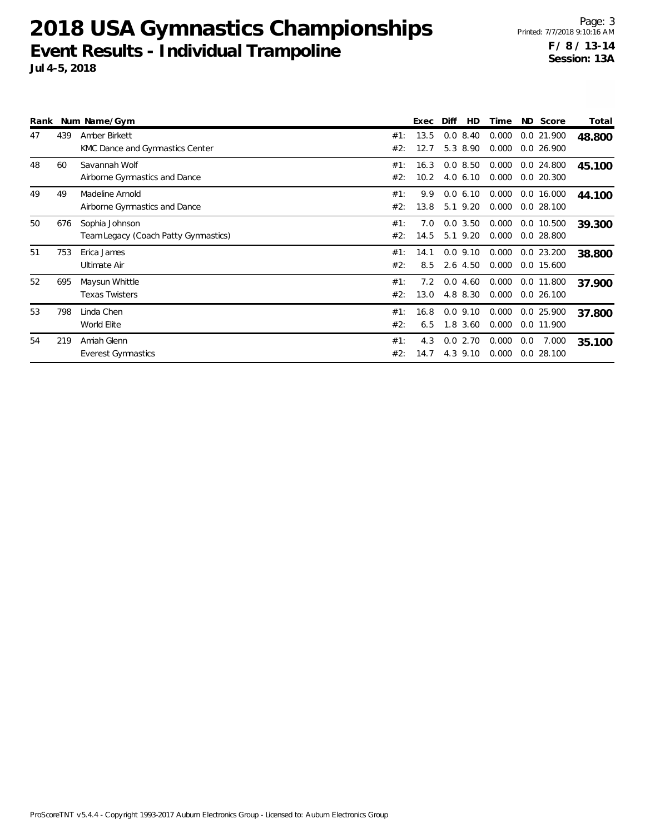| Rank |     | Num Name/Gym                         |     | Exec | Diff        | HD | Time  | ND Score     | Total  |
|------|-----|--------------------------------------|-----|------|-------------|----|-------|--------------|--------|
| 47   | 439 | Amber Birkett                        | #1: | 13.5 | $0.0$ 8.40  |    | 0.000 | 0.0 21.900   | 48.800 |
|      |     | KMC Dance and Gymnastics Center      | #2: | 12.7 | 5.3 8.90    |    | 0.000 | $0.0$ 26.900 |        |
| 48   | 60  | Savannah Wolf                        | #1: | 16.3 | 0.08.50     |    | 0.000 | $0.0$ 24.800 | 45.100 |
|      |     | Airborne Gymnastics and Dance        | #2: | 10.2 | $4.0\,6.10$ |    | 0.000 | $0.0$ 20.300 |        |
| 49   | 49  | Madeline Arnold                      | #1: | 9.9  | 0.06.10     |    | 0.000 | 0.0 16.000   | 44.100 |
|      |     | Airborne Gymnastics and Dance        | #2: | 13.8 | 5.1 9.20    |    | 0.000 | $0.0$ 28.100 |        |
| 50   | 676 | Sophia Johnson                       | #1: | 7.0  | 0.03.50     |    | 0.000 | 0.0 10.500   | 39.300 |
|      |     | Team Legacy (Coach Patty Gymnastics) | #2: | 14.5 | 5.1 9.20    |    | 0.000 | $0.0$ 28.800 |        |
| 51   | 753 | Erica James                          | #1: | 14.1 | $0.0$ 9.10  |    | 0.000 | $0.0$ 23.200 | 38.800 |
|      |     | Ultimate Air                         | #2: | 8.5  | $2.6$ 4.50  |    | 0.000 | 0.0 15.600   |        |
| 52   | 695 | Maysun Whittle                       | #1: | 7.2  | 0.0<br>4.60 |    | 0.000 | 0.0 11.800   | 37.900 |
|      |     | <b>Texas Twisters</b>                | #2: | 13.0 | 4.8 8.30    |    | 0.000 | $0.0$ 26.100 |        |
| 53   | 798 | Linda Chen                           | #1: | 16.8 | $0.0$ 9.10  |    | 0.000 | 0.0 25.900   | 37.800 |
|      |     | World Elite                          | #2: | 6.5  | $1.8$ 3.60  |    | 0.000 | 0.0 11.900   |        |
| 54   | 219 | Amiah Glenn                          | #1: | 4.3  | 0.02.70     |    | 0.000 | 0.0<br>7.000 | 35.100 |
|      |     | <b>Everest Gymnastics</b>            | #2: | 14.7 | 4.3 9.10    |    | 0.000 | $0.0$ 28.100 |        |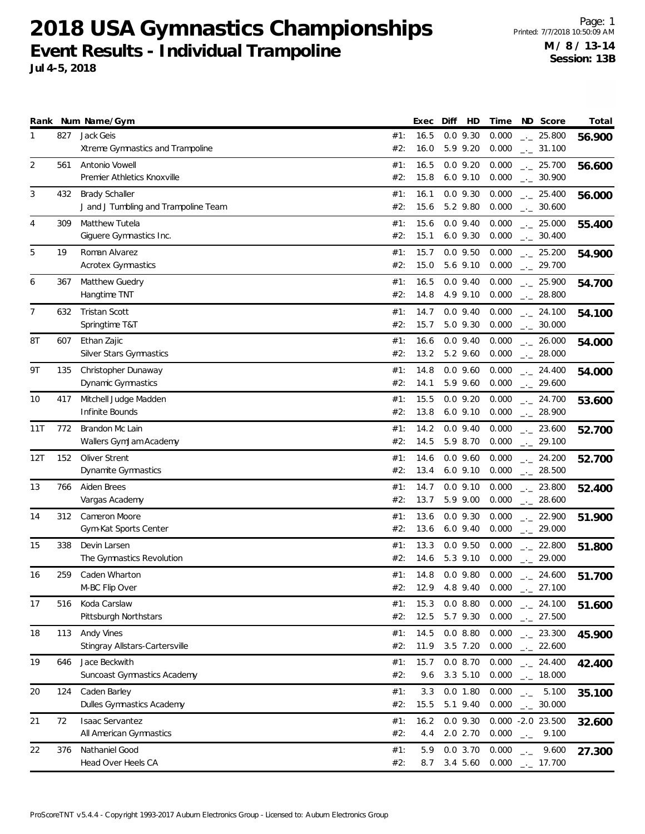Page: 1 Printed: 7/7/2018 10:50:09 AM **M / 8 / 13-14 Session: 13B**

|     |     | Rank Num Name/Gym                                             |            | Exec         | Diff<br>HD                 | Time           | ND Score                                     | Total  |
|-----|-----|---------------------------------------------------------------|------------|--------------|----------------------------|----------------|----------------------------------------------|--------|
| 1   | 827 | Jack Geis<br>Xtreme Gymnastics and Trampoline                 | #1:<br>#2: | 16.5<br>16.0 | $0.0$ $9.30$<br>5.9 9.20   | 0.000<br>0.000 | $-25.800$<br>$\frac{1}{2}$ 31.100            | 56.900 |
| 2   | 561 | Antonio Vowell<br>Premier Athletics Knoxville                 | #1:<br>#2: | 16.5<br>15.8 | $0.0$ 9.20<br>$6.0$ $9.10$ | 0.000<br>0.000 | $\frac{1}{2}$ 25.700<br>$-2$ 30.900          | 56.600 |
| 3   | 432 | <b>Brady Schaller</b><br>J and J Tumbling and Trampoline Team | #1:<br>#2: | 16.1<br>15.6 | $0.0$ 9.30<br>5.2 9.80     | 0.000<br>0.000 | $-25.400$<br>$\frac{1}{2}$ 30.600            | 56.000 |
| 4   | 309 | Matthew Tutela<br>Giguere Gymnastics Inc.                     | #1:<br>#2: | 15.6<br>15.1 | $0.0$ 9.40<br>$6.0$ $9.30$ | 0.000<br>0.000 | $\frac{1}{2}$ 25.000<br>$\frac{1}{2}$ 30.400 | 55.400 |
| 5   | 19  | Roman Alvarez<br><b>Acrotex Gymnastics</b>                    | #1:<br>#2: | 15.7<br>15.0 | $0.0$ $9.50$<br>5.6 9.10   | 0.000<br>0.000 | $-25.200$<br>$-29.700$                       | 54.900 |
| 6   | 367 | Matthew Guedry<br>Hangtime TNT                                | #1:<br>#2: | 16.5<br>14.8 | $0.0$ 9.40<br>4.9 9.10     | 0.000<br>0.000 | $-25.900$<br>$-28.800$                       | 54.700 |
| 7   | 632 | <b>Tristan Scott</b><br>Springtime T&T                        | #1:<br>#2: | 14.7<br>15.7 | $0.0$ 9.40<br>5.0 9.30     | 0.000<br>0.000 | $\frac{1}{2}$ 24.100<br>$\frac{1}{2}$ 30.000 | 54.100 |
| 8T  | 607 | Ethan Zajic<br>Silver Stars Gymnastics                        | #1:<br>#2: | 16.6<br>13.2 | $0.0$ 9.40<br>5.2 9.60     | 0.000<br>0.000 | $-26.000$<br>$-28.000$                       | 54.000 |
| 9Τ  | 135 | Christopher Dunaway<br>Dynamic Gymnastics                     | #1:<br>#2: | 14.8<br>14.1 | $0.0$ 9.60<br>5.9 9.60     | 0.000<br>0.000 | $-24.400$<br>$-29.600$                       | 54.000 |
| 10  | 417 | Mitchell Judge Madden<br>Infinite Bounds                      | #1:<br>#2: | 15.5<br>13.8 | $0.0$ 9.20<br>$6.0$ $9.10$ | 0.000<br>0.000 | $-24.700$<br>$-28.900$                       | 53.600 |
| 11T | 772 | Brandon Mc Lain<br>Wallers GymJam Academy                     | #1:<br>#2: | 14.2<br>14.5 | $0.0$ 9.40<br>5.9 8.70     | 0.000<br>0.000 | $-23.600$<br>$-29.100$                       | 52.700 |
| 12T | 152 | Oliver Strent<br>Dynamite Gymnastics                          | #1:<br>#2: | 14.6<br>13.4 | $0.0$ 9.60<br>$6.0$ $9.10$ | 0.000<br>0.000 | $-24.200$<br>$-28.500$                       | 52.700 |
| 13  | 766 | Aiden Brees<br>Vargas Academy                                 | #1:<br>#2: | 14.7<br>13.7 | $0.0$ 9.10<br>5.9 9.00     | 0.000<br>0.000 | $-23.800$<br>$-28.600$                       | 52.400 |
| 14  | 312 | Cameron Moore<br>Gym-Kat Sports Center                        | #1:<br>#2: | 13.6<br>13.6 | $0.0$ 9.30<br>$6.0$ 9.40   | 0.000<br>0.000 | $-22.900$<br>$-29.000$                       | 51.900 |
| 15  | 338 | Devin Larsen<br>The Gymnastics Revolution                     | #1:<br>#2: | 13.3<br>14.6 | $0.0$ 9.50<br>5.3 9.10     | 0.000<br>0.000 | $-22.800$<br>$-29.000$                       | 51.800 |
| 16  | 259 | Caden Wharton<br>M-BC Flip Over                               | #1:<br>#2: | 14.8<br>12.9 | $0.0$ 9.80<br>4.8 9.40     | 0.000<br>0.000 | $-24.600$<br>$-27.100$                       | 51.700 |
| 17  | 516 | Koda Carslaw<br>Pittsburgh Northstars                         | #1:<br>#2: | 15.3<br>12.5 | 0.08.80<br>5.7 9.30        | 0.000<br>0.000 | $\frac{1}{2}$ 24.100<br>$\frac{1}{2}$ 27.500 | 51.600 |
| 18  | 113 | Andy Vines<br>Stingray Allstars-Cartersville                  | #1:<br>#2: | 14.5<br>11.9 | 0.08.80<br>3.5 7.20        | 0.000<br>0.000 | $-23.300$<br>$-22.600$                       | 45.900 |
| 19  | 646 | Jace Beckwith<br><b>Suncoast Gymnastics Academy</b>           | #1:<br>#2: | 15.7<br>9.6  | 0.08.70<br>3.3 5.10        | 0.000<br>0.000 | $-24.400$<br>$-18.000$                       | 42.400 |
| 20  | 124 | Caden Barley<br>Dulles Gymnastics Academy                     | #1:<br>#2: | 3.3<br>15.5  | 0.0 1.80<br>5.1 9.40       | 0.000<br>0.000 | $-2$ 5.100<br>$\frac{1}{2}$ 30.000           | 35.100 |
| 21  | 72  | <b>Isaac Servantez</b><br>All American Gymnastics             | #1:<br>#2: | 16.2<br>4.4  | $0.0$ 9.30<br>2.0 2.70     | 0.000          | $0.000 - 2.0 23.500$<br>$-2$ 9.100           | 32.600 |

22 376 Nathaniel Good 0.000 \_.\_ **27.300** 9.600 #1: 5.9 0.0 3.70

#2: 8.7 3.4 5.60 0.000 \_\_ 17.700

ProScoreTNT v5.4.4 - Copyright 1993-2017 Auburn Electronics Group - Licensed to: Auburn Electronics Group

Head Over Heels CA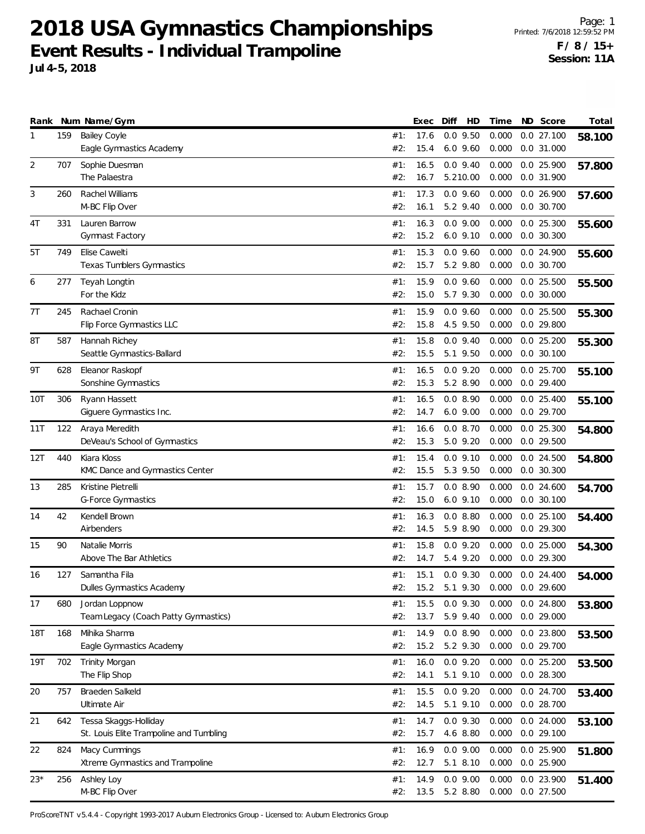Page: 1 Printed: 7/6/2018 12:59:52 PM **F / 8 / 15+ Session: 11A**

|            |     | Rank Num Name/Gym                                      |            | Exec         | Diff | HD                     | Time           | ND Score                   | Total  |
|------------|-----|--------------------------------------------------------|------------|--------------|------|------------------------|----------------|----------------------------|--------|
| 1          | 159 | <b>Bailey Coyle</b>                                    | #1:        | 17.6         |      | $0.0$ 9.50             | 0.000          | 0.027.100                  | 58.100 |
|            |     | Eagle Gymnastics Academy                               | #2:        | 15.4         |      | $6.0$ $9.60$           | 0.000          | $0.0$ 31.000               |        |
| 2          | 707 | Sophie Duesman                                         | #1:        | 16.5         |      | $0.0$ 9.40             | 0.000          | 0.0 25.900                 | 57.800 |
|            |     | The Palaestra                                          | #2:        | 16.7         |      | 5.210.00               | 0.000          | 0.0 31.900                 |        |
| 3          | 260 | Rachel Williams                                        | #1:        | 17.3         |      | $0.0$ 9.60             | 0.000          | 0.0 26.900                 | 57.600 |
|            |     | M-BC Flip Over                                         | #2:        | 16.1         |      | 5.2 9.40               | 0.000          | $0.0$ 30.700               |        |
| 4T         | 331 | Lauren Barrow                                          | #1:        | 16.3         |      | $0.0$ 9.00             | 0.000          | $0.0$ 25.300               | 55.600 |
|            |     | Gymnast Factory                                        | #2:        | 15.2         |      | $6.0$ $9.10$           | 0.000          | $0.0$ 30.300               |        |
| 5T         | 749 | Elise Cawelti                                          | #1:        | 15.3         |      | $0.0$ 9.60             | 0.000          | 0.0 24.900                 | 55.600 |
|            |     | Texas Tumblers Gymnastics                              | #2:        | 15.7         |      | 5.2 9.80               | 0.000          | 0.0 30.700                 |        |
| 6          | 277 | Teyah Longtin                                          | #1:        | 15.9         |      | $0.0$ 9.60             | 0.000          | $0.0$ 25.500               | 55.500 |
|            |     | For the Kidz                                           | #2:        | 15.0         |      | 5.7 9.30               | 0.000          | $0.0$ 30.000               |        |
| 7T         | 245 | Rachael Cronin                                         | #1:        | 15.9         |      | $0.0$ 9.60             | 0.000          | $0.0$ 25.500               | 55.300 |
|            |     | Flip Force Gymnastics LLC                              | #2:        | 15.8         |      | 4.5 9.50               | 0.000          | 0.0 29.800                 |        |
| 8T         | 587 | Hannah Richey                                          | #1:        | 15.8         |      | $0.0$ 9.40             | 0.000          | $0.0$ 25.200               | 55.300 |
|            |     | Seattle Gymnastics-Ballard                             | #2:        | 15.5         |      | 5.1 9.50               | 0.000          | $0.0$ 30.100               |        |
| 9T         | 628 | Eleanor Raskopf                                        | #1:        | 16.5         |      | $0.0$ 9.20             | 0.000          | 0.0 25.700                 | 55.100 |
|            |     | Sonshine Gymnastics                                    | #2:        | 15.3         |      | 5.2 8.90               | 0.000          | $0.0$ 29.400               |        |
| 10T        | 306 | Ryann Hassett                                          | #1:        | 16.5         |      | 0.08.90                | 0.000          | $0.0$ 25.400               | 55.100 |
|            |     | Giguere Gymnastics Inc.                                | #2:        | 14.7         |      | $6.0$ $9.00$           | 0.000          | 0.0 29.700                 |        |
| 11T        | 122 | Araya Meredith                                         | #1:        | 16.6         |      | 0.08.70                | 0.000          | $0.0$ 25.300               | 54.800 |
|            |     | DeVeau's School of Gymnastics                          | #2:        | 15.3         |      | 5.0 9.20               | 0.000          | 0.0 29.500                 |        |
| 12T        | 440 | Kiara Kloss                                            | #1:        | 15.4         |      | $0.0$ 9.10             | 0.000          | $0.0$ 24.500               | 54.800 |
|            |     | KMC Dance and Gymnastics Center                        | #2:        | 15.5         |      | 5.3 9.50               | 0.000          | $0.0$ 30.300               |        |
| 13         | 285 | Kristine Pietrelli                                     | #1:        | 15.7         |      | 0.08.90                | 0.000          | $0.0$ 24.600               | 54.700 |
|            |     | <b>G-Force Gymnastics</b>                              | #2:        | 15.0         |      | $6.0$ $9.10$           | 0.000          | $0.0$ 30.100               |        |
| 14         | 42  | Kendell Brown                                          | #1:        | 16.3         |      | 0.08.80                | 0.000          | $0.0$ 25.100               | 54.400 |
|            |     | Airbenders                                             | #2:        | 14.5         |      | 5.9 8.90               | 0.000          | $0.0$ 29.300               |        |
| 15         | 90  | Natalie Morris                                         | #1:        | 15.8         |      | $0.0$ 9.20             | 0.000          | $0.0$ 25.000               |        |
|            |     | Above The Bar Athletics                                | #2:        | 14.7         |      | 5.4 9.20               | 0.000          | 0.0 29.300                 | 54.300 |
| 16         | 127 | Samantha Fila                                          | #1:        | 15.1         |      | $0.0$ $9.30$           | 0.000          | $0.0$ 24.400               |        |
|            |     | Dulles Gymnastics Academy                              | #2:        | 15.2         |      | 5.1 9.30               |                | 0.000 0.0 29.600           | 54.000 |
|            |     |                                                        |            |              |      |                        |                |                            |        |
| 17         | 680 | Jordan Loppnow<br>Team Legacy (Coach Patty Gymnastics) | #1:<br>#2: | 15.5<br>13.7 |      | $0.0$ 9.30<br>5.9 9.40 | 0.000<br>0.000 | 0.0 24.800<br>0.029.000    | 53.800 |
|            |     |                                                        |            |              |      |                        |                |                            |        |
| <b>18T</b> | 168 | Mihika Sharma<br>Eagle Gymnastics Academy              | #1:<br>#2: | 14.9<br>15.2 |      | 0.08.90<br>5.2 9.30    | 0.000<br>0.000 | $0.0$ 23.800<br>0.0 29.700 | 53.500 |
|            |     |                                                        |            |              |      |                        |                |                            |        |
| 19T        | 702 | Trinity Morgan<br>The Flip Shop                        | #1:<br>#2: | 16.0<br>14.1 |      | $0.0$ 9.20<br>5.1 9.10 | 0.000<br>0.000 | 0.0 25.200<br>0.0 28.300   | 53.500 |
|            |     |                                                        |            |              |      |                        |                |                            |        |
| 20         | 757 | Braeden Salkeld                                        | #1:        | 15.5         |      | $0.0$ 9.20             | 0.000          | 0.0 24.700                 | 53.400 |
|            |     | Ultimate Air                                           | #2:        | 14.5         |      | 5.1 9.10               | 0.000          | 0.0 28.700                 |        |
| 21         | 642 | Tessa Skaggs-Holliday                                  | #1:        | 14.7         |      | $0.0$ 9.30             | 0.000          | 0.0 24.000                 | 53.100 |
|            |     | St. Louis Elite Trampoline and Tumbling                | #2:        | 15.7         |      | 4.6 8.80               | 0.000          | 0.029.100                  |        |
| 22         | 824 | Macy Cummings                                          | #1:        | 16.9         |      | $0.0$ $9.00$           | 0.000          | 0.0 25.900                 | 51.800 |
|            |     | Xtreme Gymnastics and Trampoline                       | #2:        | 12.7         |      | 5.1 8.10               | 0.000          | 0.0 25.900                 |        |
| $23*$      | 256 | Ashley Loy                                             | #1:        | 14.9         |      | $0.0$ 9.00             | 0.000          | 0.0 23.900                 | 51.400 |
|            |     | M-BC Flip Over                                         | #2:        | 13.5         |      | 5.2 8.80               | 0.000          | 0.0 27.500                 |        |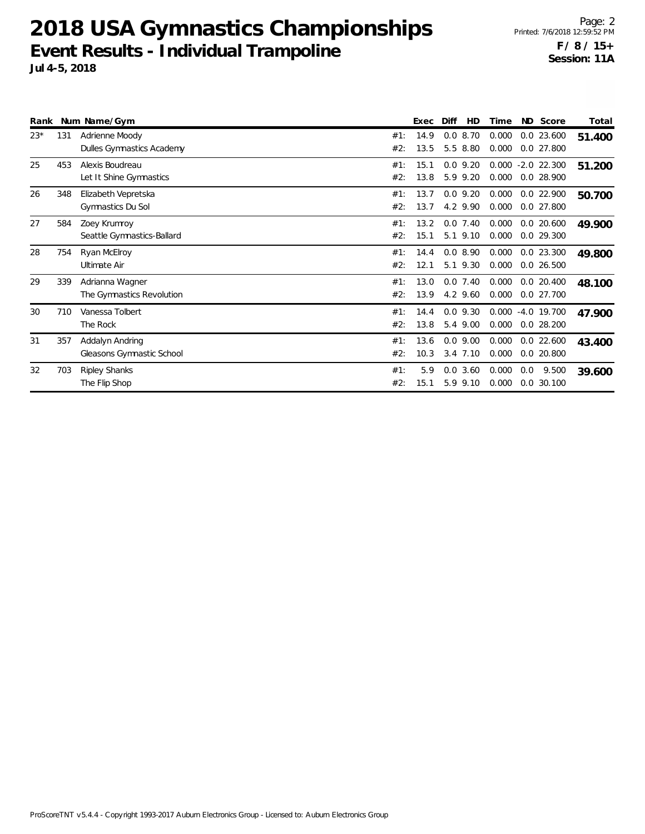**Jul 4-5, 2018**

|       |     | Rank Num Name/Gym                            |            | Exec         | <b>HD</b><br>Diff         | Time           |     | ND Score                             | Total  |
|-------|-----|----------------------------------------------|------------|--------------|---------------------------|----------------|-----|--------------------------------------|--------|
| $23*$ | 131 | Adrienne Moody<br>Dulles Gymnastics Academy  | #1:<br>#2: | 14.9<br>13.5 | 0.08.70<br>5.5 8.80       | 0.000<br>0.000 |     | $0.0$ 23.600<br>$0.0$ 27.800         | 51.400 |
| 25    | 453 | Alexis Boudreau<br>Let It Shine Gymnastics   | #1:<br>#2: | 15.1<br>13.8 | $0.0$ 9.20<br>5.9 9.20    | 0.000<br>0.000 |     | $-2.0$ 22.300<br>$0.0$ 28.900        | 51.200 |
| 26    | 348 | Elizabeth Vepretska<br>Gymnastics Du Sol     | #1:<br>#2: | 13.7<br>13.7 | $0.0$ 9.20<br>4.2 9.90    | 0.000<br>0.000 |     | $0.0$ 22.900<br>$0.0$ 27.800         | 50.700 |
| 27    | 584 | Zoey Krumroy<br>Seattle Gymnastics-Ballard   | #1:<br>#2: | 13.2<br>15.1 | $0.0$ 7.40<br>5.1 9.10    | 0.000<br>0.000 |     | $0.0$ 20.600<br>0.0 29.300           | 49.900 |
| 28    | 754 | Ryan McElroy<br>Ultimate Air                 | #1:<br>#2: | 14.4<br>12.1 | 0.08.90<br>5.1 9.30       | 0.000<br>0.000 |     | $0.0$ 23.300<br>$0.0$ 26.500         | 49.800 |
| 29    | 339 | Adrianna Wagner<br>The Gymnastics Revolution | #1:<br>#2: | 13.0<br>13.9 | $0.0$ 7.40<br>4.2 9.60    | 0.000<br>0.000 |     | $0.0$ 20.400<br>0.0 27.700           | 48.100 |
| 30    | 710 | Vanessa Tolbert<br>The Rock                  | #1:<br>#2: | 14.4<br>13.8 | $0.0$ 9.30<br>5.4 9.00    | 0.000          |     | $0.000 - 4.0 19.700$<br>$0.0$ 28.200 | 47.900 |
| 31    | 357 | Addalyn Andring<br>Gleasons Gymnastic School | #1:<br>#2: | 13.6<br>10.3 | $0.0$ 9.00<br>$3.4$ 7.10  | 0.000<br>0.000 |     | $0.0$ 22.600<br>$0.0$ 20.800         | 43.400 |
| 32    | 703 | <b>Ripley Shanks</b><br>The Flip Shop        | #1:<br>#2: | 5.9<br>15.1  | $0.0$ 3.60<br>9.10<br>5.9 | 0.000<br>0.000 | 0.0 | 9.500<br>0.0 30.100                  | 39.600 |